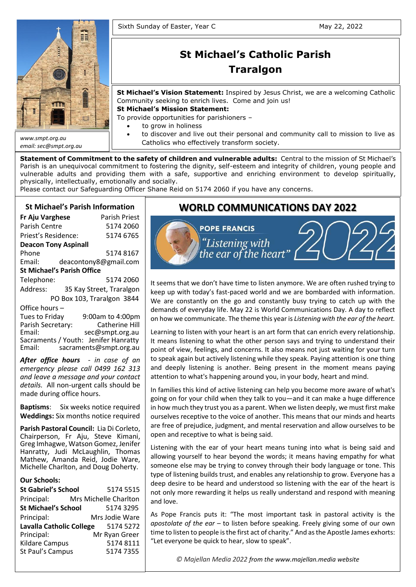

*email: sec@smpt.org.au*

# **St Michael's Catholic Parish Traralgon**

**St Michael's Vision Statement:** Inspired by Jesus Christ, we are a welcoming Catholic Community seeking to enrich lives. Come and join us!

**St Michael's Mission Statement:**

To provide opportunities for parishioners –

- to grow in holiness
- to discover and live out their personal and community call to mission to live as Catholics who effectively transform society.

**Statement of Commitment to the safety of children and vulnerable adults:** Central to the mission of St Michael's Parish is an unequivocal commitment to fostering the dignity, self-esteem and integrity of children, young people and vulnerable adults and providing them with a safe, supportive and enriching environment to develop spiritually, physically, intellectually, emotionally and socially.

Please contact our Safeguarding Officer Shane Reid on 5174 2060 if you have any concerns.

# **St Michael's Parish Information**

| Fr Aju Varghese                   | Parish Priest              |  |  |
|-----------------------------------|----------------------------|--|--|
| Parish Centre                     | 5174 2060                  |  |  |
| Priest's Residence:               | 5174 6765                  |  |  |
| <b>Deacon Tony Aspinall</b>       |                            |  |  |
| Phone                             | 51748167                   |  |  |
| Email:                            | deacontony8@gmail.com      |  |  |
| <b>St Michael's Parish Office</b> |                            |  |  |
| Telephone:                        | 5174 2060                  |  |  |
| Address:                          | 35 Kay Street, Traralgon   |  |  |
|                                   | PO Box 103, Traralgon 3844 |  |  |
| Office hours -                    |                            |  |  |
| Tues to Friday                    | 9:00am to 4:00pm           |  |  |
| Parish Secretary:                 | <b>Catherine Hill</b>      |  |  |

Email: sec@smpt.org.au Sacraments / Youth: Jenifer Hanratty Email: [sacraments@smpt.org.au](mailto:sacraments@smpt.org.au)

*After office hours - in case of an emergency please call 0499 162 313 and leave a message and your contact details.* All non-urgent calls should be made during office hours.

**Baptisms**: Six weeks notice required **Weddings:** Six months notice required

**Parish Pastoral Council:** Lia Di Corleto, Chairperson, Fr Aju, Steve Kimani, Greg Imhagwe, Watson Gomez, Jenifer Hanratty, Judi McLaughlin, Thomas Mathew, Amanda Reid, Jodie Ware, Michelle Charlton, and Doug Doherty.

#### **Our Schools:**

| <b>St Gabriel's School</b>      |  | 5174 5515             |
|---------------------------------|--|-----------------------|
| Principal:                      |  | Mrs Michelle Charlton |
| <b>St Michael's School</b>      |  | 5174 3295             |
| Principal:                      |  | Mrs Jodie Ware        |
| <b>Lavalla Catholic College</b> |  | 5174 5272             |
| Principal:                      |  | Mr Ryan Greer         |
| Kildare Campus                  |  | 5174 8111             |
| St Paul's Campus                |  | 51747355              |
|                                 |  |                       |

# **WORLD COMMUNICATIONS DAY 2022**



It seems that we don't have time to listen anymore. We are often rushed trying to keep up with today's fast-paced world and we are bombarded with information. We are constantly on the go and constantly busy trying to catch up with the demands of everyday life. May 22 is World Communications Day. A day to reflect on how we communicate. The theme this year is *Listening with the ear of the heart.*

Learning to listen with your heart is an art form that can enrich every relationship. It means listening to what the other person says and trying to understand their point of view, feelings, and concerns. It also means not just waiting for your turn to speak again but actively listening while they speak. Paying attention is one thing and deeply listening is another. Being present in the moment means paying attention to what's happening around you, in your body, heart and mind.

In families this kind of active listening can help you become more aware of what's going on for your child when they talk to you—and it can make a huge difference in how much they trust you as a parent. When we listen deeply, we must first make ourselves receptive to the voice of another. This means that our minds and hearts are free of prejudice, judgment, and mental reservation and allow ourselves to be open and receptive to what is being said.

Listening with the ear of your heart means tuning into what is being said and allowing yourself to hear beyond the words; it means having empathy for what someone else may be trying to convey through their body language or tone. This type of listening builds trust, and enables any relationship to grow. Everyone has a deep desire to be heard and understood so listening with the ear of the heart is not only more rewarding it helps us really understand and respond with meaning and love.

As Pope Francis puts it: "The most important task in pastoral activity is the *apostolate of the ear* – to listen before speaking. Freely giving some of our own time to listen to people is the first act of charity." And as the Apostle James exhorts: "Let everyone be quick to hear, slow to speak".

*© Majellan Media 2022 from the [www.majellan.media](http://www.majellan.media/) website*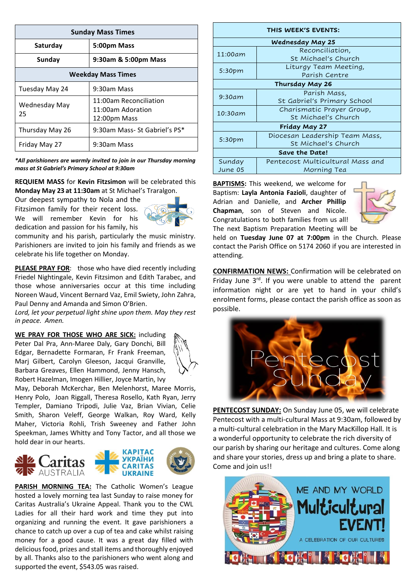| <b>Sunday Mass Times</b>  |                                                             |  |
|---------------------------|-------------------------------------------------------------|--|
| Saturday<br>5:00pm Mass   |                                                             |  |
| Sunday                    | 9:30am & 5:00pm Mass                                        |  |
| <b>Weekday Mass Times</b> |                                                             |  |
| Tuesday May 24            | 9:30am Mass                                                 |  |
| Wednesday May<br>25       | 11:00am Reconciliation<br>11:00am Adoration<br>12:00pm Mass |  |
| Thursday May 26           | 9:30am Mass- St Gabriel's PS*                               |  |
| Friday May 27             | 9:30am Mass                                                 |  |

*\*All parishioners are warmly invited to join in our Thursday morning mass at St Gabriel's Primary School at 9:30am*

**REQUIEM MASS** for **Kevin Fitzsimon** will be celebrated this **Monday May 23 at 11:30am** at St Michael's Traralgon.

Our deepest sympathy to Nola and the Fitzsimon family for their recent loss. We will remember Kevin for his dedication and passion for his family, his



community and his parish, particularly the music ministry. Parishioners are invited to join his family and friends as we celebrate his life together on Monday.

**PLEASE PRAY FOR:** those who have died recently including Friedel Nightingale, Kevin Fitzsimon and Edith Tarabec, and those whose anniversaries occur at this time including Noreen Waud, Vincent Bernard Vaz, Emil Swiety, John Zahra, Paul Denny and Amanda and Simon O'Brien.

*Lord, let your perpetual light shine upon them. May they rest in peace. Amen.*

**WE PRAY FOR THOSE WHO ARE SICK:** including Peter Dal Pra, Ann-Maree Daly, Gary Donchi, Bill Edgar, Bernadette Formaran, Fr Frank Freeman, Marj Gilbert, Carolyn Gleeson, Jacqui Granville, Barbara Greaves, Ellen Hammond, Jenny Hansch, Robert Hazelman, Imogen Hillier, Joyce Martin, Ivy



May, Deborah McKerchar, Ben Melenhorst, Maree Morris, Henry Polo, Joan Riggall, Theresa Rosello, Kath Ryan, Jerry Templer, Damiano Tripodi, Julie Vaz, Brian Vivian, Celie Smith, Sharon Veleff, George Walkan, Roy Ward, Kelly Maher, Victoria Rohli, Trish Sweeney and Father John Speekman, James Whitty and Tony Tactor, and all those we hold dear in our hearts.



**PARISH MORNING TEA:** The Catholic Women's League hosted a lovely morning tea last Sunday to raise money for Caritas Australia's Ukraine Appeal. Thank you to the CWL Ladies for all their hard work and time they put into organizing and running the event. It gave parishioners a chance to catch up over a cup of tea and cake whilst raising money for a good cause. It was a great day filled with delicious food, prizes and stall items and thoroughly enjoyed by all. Thanks also to the parishioners who went along and supported the event, \$543.05 was raised.

| THIS WEEK'S EVENTS: |                                  |  |  |
|---------------------|----------------------------------|--|--|
|                     | Wednesday May 25                 |  |  |
| 11:00am             | Reconciliation,                  |  |  |
|                     | St Michael's Church              |  |  |
| 5:30pm              | Liturgy Team Meeting,            |  |  |
|                     | Parish Centre                    |  |  |
| Thursday May 26     |                                  |  |  |
| 9:30am              | Parish Mass,                     |  |  |
|                     | St Gabriel's Primary School      |  |  |
| 10:30am             | Charismatic Prayer Group,        |  |  |
|                     | St Michael's Church              |  |  |
| Friday May 27       |                                  |  |  |
| 5:30 <sub>pm</sub>  | Diocesan Leadership Team Mass,   |  |  |
|                     | St Michael's Church              |  |  |
| Save the Date!      |                                  |  |  |
| Sunday              | Pentecost Multicultural Mass and |  |  |
| June 05             | Morning Tea                      |  |  |

**BAPTISMS:** This weekend, we welcome for Baptism: **Layla Antonia Fazioli**, daughter of Adrian and Danielle, and **Archer Phillip Chapman**, son of Steven and Nicole. Congratulations to both families from us all! The next Baptism Preparation Meeting will be



held on **Tuesday June 07 at 7:00pm** in the Church. Please contact the Parish Office on 5174 2060 if you are interested in attending.

**CONFIRMATION NEWS:** Confirmation will be celebrated on Friday June  $3<sup>rd</sup>$ . If you were unable to attend the parent information night or are yet to hand in your child's enrolment forms, please contact the parish office as soon as possible.



**PENTECOST SUNDAY:** On Sunday June 05, we will celebrate Pentecost with a multi-cultural Mass at 9:30am, followed by a multi-cultural celebration in the Mary MacKillop Hall. It is a wonderful opportunity to celebrate the rich diversity of our parish by sharing our heritage and cultures. Come along and share your stories, dress up and bring a plate to share. Come and join us!!

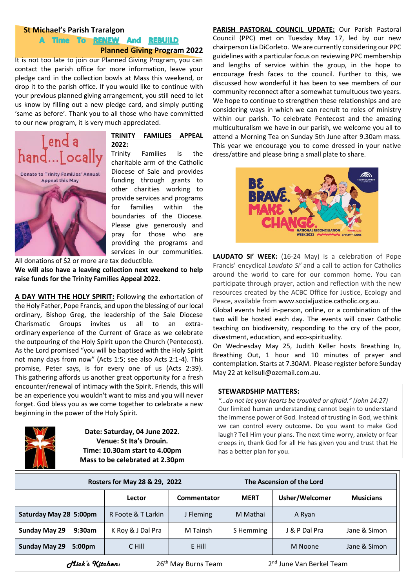#### **St Michael's Parish Traralgon**

## A Time To RENEW And REBUILD **Planned Giving Program 2022**

It is not too late to join our Planned Giving Program, you can contact the parish office for more information, leave your pledge card in the collection bowls at Mass this weekend, or drop it to the parish office. If you would like to continue with your previous planned giving arrangement, you still need to let us know by filling out a new pledge card, and simply putting 'same as before'. Thank you to all those who have committed to our new program, it is very much appreciated.



#### **TRINITY FAMILIES APPEAL 2022:**

Trinity Families is the charitable arm of the Catholic Diocese of Sale and provides funding through grants to other charities working to provide services and programs for families within the boundaries of the Diocese. Please give generously and pray for those who are providing the programs and services in our communities.

All donations of \$2 or more are tax deductible.

**We will also have a leaving collection next weekend to help raise funds for the Trinity Families Appeal 2022.**

**A DAY WITH THE HOLY SPIRIT:** Following the exhortation of the Holy Father, Pope Francis, and upon the blessing of our local ordinary, Bishop Greg, the leadership of the Sale Diocese Charismatic Groups invites us all to an extraordinary experience of the Current of Grace as we celebrate the outpouring of the Holy Spirit upon the Church (Pentecost). As the Lord promised "you will be baptised with the Holy Spirit not many days from now" (Acts 1:5; see also Acts 2:1-4). This promise, Peter says, is for every one of us (Acts 2:39). This gathering affords us another great opportunity for a fresh encounter/renewal of intimacy with the Spirit. Friends, this will be an experience you wouldn't want to miss and you will never forget. God bless you as we come together to celebrate a new beginning in the power of the Holy Spirit.



**Date: Saturday, 04 June 2022. Venue: St Ita's Drouin. Time: 10.30am start to 4.00pm Mass to be celebrated at 2.30pm** **PARISH PASTORAL COUNCIL UPDATE:** Our Parish Pastoral Council (PPC) met on Tuesday May 17, led by our new chairperson Lia DiCorleto. We are currently considering our PPC guidelines with a particular focus on reviewing PPC membership and lengths of service within the group, in the hope to encourage fresh faces to the council. Further to this, we discussed how wonderful it has been to see members of our community reconnect after a somewhat tumultuous two years. We hope to continue to strengthen these relationships and are considering ways in which we can recruit to roles of ministry within our parish. To celebrate Pentecost and the amazing multiculturalism we have in our parish, we welcome you all to attend a Morning Tea on Sunday 5th June after 9.30am mass. This year we encourage you to come dressed in your native dress/attire and please bring a small plate to share.



**LAUDATO SI' WEEK:** (16-24 May) is a celebration of Pope Francis' encyclical *Laudato Si'* and a call to action for Catholics around the world to care for our common home. You can participate through prayer, action and reflection with the new resources created by the ACBC Office for Justice, Ecology and Peace, available from [www.socialjustice.catholic.org.au.](http://www.socialjustice.catholic.org.au/)

Global events held in-person, online, or a combination of the two will be hosted each day. The events will cover Catholic teaching on biodiversity, responding to the cry of the poor, divestment, education, and eco-spirituality.

On Wednesday May 25, Judith Keller hosts Breathing In, Breathing Out, 1 hour and 10 minutes of prayer and contemplation. Starts at 7.30AM. Please register before Sunday May 22 at [kellsull@ozemail.com.au.](mailto:kellsull@ozemail.com.au)

# $\overline{\phantom{a}}$  <u>STEWARDSHIP MATTERS:</u>

*Proclaim a joyful sound and let it be heard; "…do not let your hearts be troubled or afraid." (John 14:27)* Our limited human understanding cannot begin to understand the immense power of God. Instead of trusting in God, we think we can control every outcome. Do you want to make God laugh? Tell Him your plans. The next time worry, anxiety or fear creeps in, thank God for all He has given you and trust that He has a better plan for you.

| Rosters for May 28 & 29, 2022                                                              |                    | The Ascension of the Lord |             |                |                  |
|--------------------------------------------------------------------------------------------|--------------------|---------------------------|-------------|----------------|------------------|
|                                                                                            | Lector             | Commentator               | <b>MERT</b> | Usher/Welcomer | <b>Musicians</b> |
| Saturday May 28 5:00pm                                                                     | R Foote & T Larkin | J Fleming                 | M Mathai    | A Ryan         |                  |
| <b>Sunday May 29</b><br>9:30am                                                             | K Roy & J Dal Pra  | M Tainsh                  | S Hemming   | J & P Dal Pra  | Jane & Simon     |
| <b>Sunday May 29</b><br>5:00 <sub>pm</sub>                                                 | C Hill             | E Hill                    |             | M Noone        | Jane & Simon     |
| 2 <sup>nd</sup> June Van Berkel Team<br>26 <sup>th</sup> May Burns Team<br>Mick's Kitchen: |                    |                           |             |                |                  |